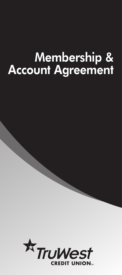# **Membership & Account Agreement**

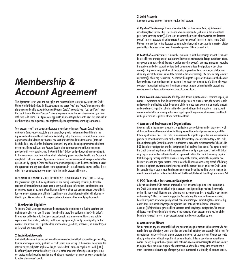## *Membership & Account Agreement*

This Agreement covers your and our rights and responsibilities concerning Accounts the Credit Union (Credit Union) offers. In this Agreement, the words "you" and "yours" mean anyone who signs any membership account document (Account Card). The words "we," "us," and "our" mean the Credit Union. The word "account" means any one or more share or other accounts you have with the Credit Union. This Agreement applies to all accounts you have with us at this time and at any future time, and supersedes and replaces all prior agreements governing your account.

Your account type(s) and ownership features are designated on your Account Card. By signing an Account Card, each of you, jointly and severally, agree to the terms and conditions in this Agreement and Account Card, the Funds Availability Policy Disclosure, Electronic Funds Transfer Agreement and Disclosure, any Account and Certificate Dividend Rate Disclosures, (Rate and Fee Schedule), any other fee disclosure documents, any online banking agreement and related documents, if applicable, or any Account Receipt whether accompanying this Agreement or provided with future services, and the Credit Union's Bylaws and policies, and any amendments to these documents from time to time which collectively govern your Membership and Accounts. A completed Credit and Security Agreement is required for membership and incorporated into this agreement. By signing a Credit and Security Agreement you agree to the terms and conditions of the agreement and any addendum's to the agreement. In cases of inconsistency or conflict, those other rules or agreements governing or referring to the account will control.

IMPORTANT INFORMATION ABOUT PROCEDURES FOR OPENING A NEW ACCOUNT- To help the government fight the funding of terrorism and money laundering activities, Federal law requires all financial institutions to obtain, verify, and record information that identifies each person who opens an account. What this means for you: When you open an account, we will ask for your name, address, date of birth, if applicable, and other information that will allow us to identify you. We may also ask to see your driver's license or other identifying documents.

#### **1. Membership Eligibility**

To join the Credit Union you must meet the membership requirements including purchase and maintenance of at least one (1) share ("membership share") as set forth in the Credit Union's Bylaws. You authorize us to check your account, credit, and employment history, and obtain reports from third parties, including credit reporting agencies, to verify your eligibility for the accounts and services you request and for other accounts, products, or services, we may offer you or for which you may qualify.

#### **2. Individual Accounts**

An individual account is an account owned by one member (individual, corporation, partnership, trust or other organization) qualified for credit union membership. If the account owner dies, the interest passes, subject to applicable law, to the decedent's estate or Payable on Death (POD) beneficiary/payee or trust beneficiary, subject to other provisions of this Agreement governing our protection for honoring transfer and withdrawal requests of an owner or owner's agent prior to notice of an owner's death.

#### **3. Joint Accounts**

An account owned by two or more persons is a joint account.

*A. Rights of Survivorship.* Unless otherwise stated on the Account Card, a joint account includes rights of survivorship. This means when one owner dies, all sums in the account will pass to the surviving owner(s). For a joint account without rights of survivorship, the deceased owner's interest passes to his or her estate. A surviving owner's interest is subject to the Credit Union's statutory lien for the deceased owner's obligations, and to any security interest or pledge granted by a deceased owner, even if a surviving owner did not consent to it.

*B. Control of Joint Accounts.* If a member maintains a joint share savings account, it can only be closed by the primary owner, as closure will terminate membership. Except as set forth above, any owner is authorized and deemed to act for any other owner(s) and may instruct us regarding transactions and other account matters. Each owner guarantees the signature of any other owner(s). Any owner may withdraw all funds, stop payment on items, transfer, or pledge to us all or any part of the shares without the consent of the other owner(s). We have no duty to notify any owner(s) about any transaction. We reserve the right to require written consent of all owners for any change to or termination of an account. If we receive written notice of a dispute between owners or inconsistent instructions from them, we may suspend or terminate the account and require a court order or written consent from all owners to act.

*C. Joint Account Owner Liability.* If a deposited item in a joint account is returned unpaid, an account is overdrawn, or if we do not receive final payment on a transaction, the owners, jointly and severally, are liable to us for the amount of the returned item, overdraft, or unpaid amount and any charges, regardless of who initiated or benefited from the transaction. If any account owner is indebted to us, we may enforce our rights against any account of an owner or all funds in the joint account regardless of who contributed them.

#### **4. Accounts of Businesses and Organizations**

Accounts held in the name of a business, organization, or association member are subject to all of the conditions and terms contained in this Agreement for natural person accounts, and the following additional rules. The Credit Union reserves the right to require the business member to provide an account authorization card or other documentary evidence satisfactory to the Credit Union informing the Credit Union who is authorized to act on the business member's behalf. No POD beneficiary designation or other designation shall apply to the account. You agree to notify the Credit Union of any change in this representative authority of your agent. The Credit Union may rely on your written authorization to act upon such notice. The Credit Union may require that third-party checks payable to a business may not be cashed, but must be deposited to a business account. You agree that the Credit Union shall have no notice of any breach of fiduciary duties arising from any transactions by any agent of the account owner, unless the Credit Union has actual notice of such breach. Further, you agree that the online banking system may not be used to transmit entries that are in violation of the Unlawful Internet Gambling Enforcement Act.

#### **5. POD/Revocable Trust Account Designations**

A Payable on Death (POD) account or revocable trust account designation is an instruction to the Credit Union that an individual or joint account so designated is payable to the owner(s) during his, her or their lifetimes and, when the last account owner dies, is payable to any named and surviving POD or trust beneficiary/payee. Accounts payable to more than one surviving beneficiary/payee are owned jointly by such beneficiaries/payees without rights of survivorship. Any POD or trust beneficiary/payee designation shall not apply to Individual Retirement Accounts (IRAs) which are governed by a separate beneficiary/payee designation. We are not obligated to notify any beneficiary/payee of the existence of any account or the vesting of the beneficiary/payee's interest in any account, except as otherwise provided by law.

#### **6. Accounts for Minors**

We may require any account established by a minor to be a joint account with an owner who has reached the age of majority under state law and who shall be jointly and severally liable to us for any returned item, overdraft, or unpaid charges or amounts on such account. We may pay funds directly to the minor without regard to his or her minority. Unless a guardian or parent is an account owner, the guardian or parent shall not have any account access rights. We have no duty to inquire about the use or purpose of any transaction. We will not change the account status when the minor reaches the age of majority, unless authorized in writing by all account owners.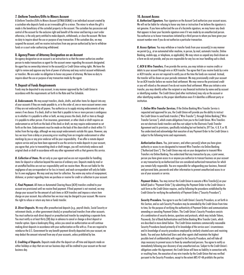#### **7. Uniform Transfers/Gifts to Minors Account**

A Uniform Transfers/Gifts to Minors Account (UTMA/UGMA) is an individual account created by a custodian who deposits funds as an irrevocable gift to a minor. The minor to whom the gift is made is the beneficiary of the custodial property in the account. The custodian has possession and control of the account for the exclusive right and benefit of the minor and barring a court order otherwise, is the only party entitled to make deposits, withdrawals, or close the account. We have no duty to inquire about the use or purpose of any transaction. If the custodian dies, we may suspend the account, until we receive instructions from any person authorized by law to withdraw funds or a court order authorizing withdrawal.

#### **8. Agency/Power of Attorney Designation on an Account**

An agency designation on an account is an instruction to us that the owner authorizes another person to make transactions as agent for the account owner regarding the accounts designated. An agent has no ownership interest in the account(s) or Credit Union voting rights. We have the right to review and approve any form of power of attorney and may restrict account withdrawals or transfers. We are under no obligation to honor any power of attorney. We have no duty to inquire about the use or purpose of any transaction made by the agent.

#### **9. Deposit of Funds Requirements**

Funds may be deposited to any account, in any manner approved by the Credit Union in accordance with the requirements set forth in the Rate and Fee Schedule.

*A. Endorsements*. We may accept transfers, checks, drafts, and other items for deposit into any of your accounts if they are made payable to, or to the order of, one or more account owners even if they are not endorsed by all payees. You authorize us to supply missing endorsements of any owners if we choose. If a check, draft or item that is payable to two or more persons is ambiguous as to whether it is payable to either or both, we may process the check, draft or item as though it is payable to either person. If an insurance, government, or other check or draft requires an endorsement as set forth on the back of the check or draft, we may require endorsement as set forth on the item. Endorsements must be made on the back of the share draft or check within 1½ inches from the top edge, although we may accept endorsements outside this space. However, any loss we incur from a delay or processing error resulting from an irregular endorsement or other markings by you or any prior endorser will be your responsibility. If we offer a remote deposit capture service and you have been approved to use the service to make deposits to your account, you agree that, prior to transmitting check or draft images, you will restrictively endorse each original check or draft in accordance with any other agreement with us that governs this service.

*B. Collection of Items.* We act only as your agent and we are not responsible for handling items for deposit or collection beyond the exercise of ordinary care. Deposits made by mail or at unstaffed facilities are not our responsibility until we receive them. We are not liable for the negligence of any correspondent or for loss in transit, and each correspondent will only be liable for its own negligence. We may send any item for collection. You waive any notice of nonpayment, dishonor, or protest regarding items we purchase or receive for credit or collection to your account.

*C. Final Payment.* All items or Automated Clearing House (ACH) transfers credited to your account are provisional until we receive final payment. If final payment is not received, we may charge your account for the amount of such items or ACH transfers and impose a return item charge on your account. Any collection fees we incur may be charged to your account. We reserve the right to refuse or return any item or funds transfer.

*D. Direct Deposits.* We may offer preauthorized deposits (e.g., payroll checks, Social Security or retirement checks, or other government checks) or preauthorized transfers from other accounts. You must authorize each direct deposit or preauthorized transfer by completing a separate form. You must notify us at least thirty (30) days in advance to cancel or change a direct deposit or transfer option. Upon a bankruptcy filing, unless you cancel an authorization we will continue making direct deposits in accordance with your authorization on file with us. If we are required to reimburse the U.S. Government for any benefit payment directly deposited into your account, we may deduct the amount returned from any of your accounts, unless prohibited by law.

*E. Crediting of Deposits.* Deposits made after the deposit cut-off time and deposits made on either holidays or days that are not our business days will be credited to your account on the next business day.

#### **10. Account Access**

*A. Authorized Signature.* Your signature on the Account Card authorizes your account access. We will not be liable for refusing to honor any item or instruction if we believe the signature is not genuine. If you have authorized the use of a facsimile signature, we may honor any check that appears to bear your facsimile signature even if it was made by an unauthorized person. You authorize us to honor transactions initiated by a third person to whom you have given your account number even if you do not authorize a particular transaction.

*B. Access Options*. You may withdraw or transfer funds from your account(s) in any manner we permit (e.g., at an automated teller machine, in person, by mail, automatic transfer, Online Banking, mobile app, or telephone, as applicable). We may return as unpaid any check drawn on a form we do not provide, and you are responsible for any loss we incur handling such a check.

*C. ACH & Wire Transfers.* If we provide the service, you may initiate or receive credits or debits to your account through wire or ACH transfer. You agree that if you receive funds by a wire or ACH transfer, we are not required to notify you at the time the funds are received. Instead, the transfer will be shown on your periodic statement. We may provisionally credit your account for an ACH transfer before we receive final settlement. We may reverse the provisional credit or you will refund us the amount if we do not receive final settlement. When you initiate a wire transfer, you may identify either the recipient or any financial institution by name and by account or identifying number. The Credit Union (and other institutions) may rely on the account or other identifying number as the proper identification even if it identifies a different party or institution.

*1. Online Wire Transfer Services.* If the Online Banking Wire Transfer Service is requested and approved for you, the Credit Union will provide you the ability to instruct the Credit Union to send funds transfers ("Wire Transfer"), through Online Banking ("Wire Transfer Services"), which create obligations from you to the Credit Union. Wire Transfers are not electronic funds transfers and thus not subject to the Electronic Funds Transfer Agreement and its provisions, specifically including but not limited to, EFT Sec. 4, 8, 9, or 10. You understand and acknowledge that execution of any Payment Order to the Credit Union is subject to the following terms and requirements.

*Authorization Users.* You, joint owners, and others person(s) whom you have given authority or access to are designated to transmit Wire Transfers via Online Banking ("Authorized Users"). The Credit Union may rely on your designation to transmit Wire Transfers via Online Banking. You understand that any transaction by you, a joint owner, person you have given access to or anyone you authorize to transact business on your account or any transaction by an Authorized User are considered authorized transactions for which you remain fully responsible. You are responsible for safeguarding your business, financial and personal data, passwords and other information to prevent unauthorized access to or use of your accounts or service.

*Payment Orders.* You may instruct the Credit Union to execute a Wire Transfer(s) on your behalf (each a "Payment Order") by submitting the Payment Order to the Credit Union in such form as the Credit Union requires, and by following the procedures established by the Credit Union for verifying the authenticity of Payment Orders ("Security Procedure").

*Security Procedure.* You agree to use the Credit Union's Security Procedure, as set forth in this Section, and as such Security Procedure may be amended by the Credit Union from time to time, for the purpose of verifying the authenticity of Payment Orders and communications amending or canceling Payment Orders. The Credit Union's Security Procedure consists of a combination of security devices, questions and protocols, which may include Tokens, Passwords, Out of Band Authentication and Online Banking Wire Transfer Limits, which are described in more detail below. The Credit Union maintains commercially reasonable Security Procedures based primarily of its knowledge of the service users' circumstances and its knowledge of security procedures employed by similarly situated users and receiving banks. You and your Authorized Users and other agents shall maintain the highest possible level of confidentiality with regard to the Security Procedure, and will take all steps necessary to prevent access to them by unauthorized persons. You agree to notify us immediately following your discovery of any unauthorized use. Subject to the Credit Union's obligations under this Agreement, the Credit Union will have no liability in connection with, or resulting from, the execution of any wire transfer by the Credit Union that was verified pursuant to the Security Procedure, except to the extent ARS 47-4A prohibits the parties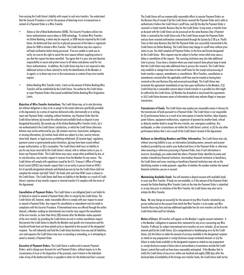from varying the Credit Union's liability with respect to such wire transfers. You understand that the Security Procedure is not for the purpose of detecting errors in transmission or content of a Payment Order or a Wire Transfer.

- *• Tokens or Out of Band Authentication (OOB).* The Security Procedure utilizes two factor authentication secure token or OOB technology. To initiate Wire Transfers via Online Banking, a token may be required, or OOB may be required by the Credit Union. An Authorized User must be in physical possession of the token or registered phone for OOB to Initiate a Wire Transfer. The Credit Union may also require a call back verification before being processed. If we are unable to reach you to verify, we reserve the right to cancel the wire request without supplying notice to you that the request has been cancelled. You agree that it is your sole and absolute responsibility to secure and protect access to all tokens and phones used for two factor authentication. In addition, the Credit Union may but is not required to take additional actions to those selected to verify the identification of the Member or its agents, or to detect any error in the transmission or content of any wire transfer request.
- *• Online Banking Wire Transfer Limits.* Limits on the amount of Online Banking Wire Transfers will be established by the Credit Union. You authorize the Credit Union to reject Payment Orders that exceed established Online Banking Wire Origination Limits.

*Rejection of Wire Transfer Instructions.* The Credit Union may, at its sole discretion, but without obligation or duty to do so except to the extent otherwise specifically provided in this Agreement, by a notice of rejection delivered orally, electronically or in writing, reject any Payment Order, including, without limitation, any Payment Order that the Credit Union believes (a) exceeds the collected and available funds on deposit in your designated Account(s); (b) exceeds any of the Online Banking Wire Transfer Limits; (c) is not authenticated to the Credit Union's satisfaction, or which the Credit Union otherwise believes may not be authorized by you; (d) contains incorrect, inconsistent, ambiguous, or missing information; (e) involves funds which are subject to a lien, security interest, claim hold, dispute, or legal process prohibiting withdrawal; (f) exceeds legal, regulatory, payment system or governmental policy limitation; (g) may have been issued without proper authorization; or (h) is incomplete. The Credit Union shall incur no liability to you for any losses incurred by the Credit Union's refusal, with or without notice to you, to honor any Payment Order. The Credit Union may reject, except when prohibited by law, at its sole discretion, any transfer request it receives from the Member for any reason. The Credit Union will comply with regulations issued by the U.S. Treasury's Office of Foreign Asset Control (OFAC) any transfer request that is to an entity or person listed on OFAC's list of specially designated nationals and blocked persons by law the Credit Union shall not complete the transfer and shall "block" the funds until such time OFAC issues a release to the Credit Union. The Credit Union shall have no liability to the Member as a result of Credit Union's rejection of any transfer request or internal transfer if it complies with the terms of this Agreement.

*Cancellation of Payment Orders.* The Credit Union is not obligated (and is not liable for its failure) to cancel or amend a Payment Order after its receipt by the Credit Union. The Credit Union will, however, make reasonable efforts to comply with your request to cancel or amend a Payment Order. Any request for cancellation or amendment must be made in compliance with the Security Procedure. If International wires are offered through the online channel, a Member sending an international wire transfer may request the cancellation of the wire transfer, no later than thirty (30) minutes after the Member makes payment of the wire transfer, by providing the Credit Union an oral or written cancellation request that permits the Credit Union to identify the Member and specific wire transaction and the transferred funds have not been picked up by or deposited to the account of the designated recipient. You will indemnify and hold the Credit Union harmless from any and all liabilities, costs and expenses the Credit Union may incur in canceling or amending, or in attempting to cancel or amend, a Payment Order.

*Execution of Payment Orders.* The Credit Union is authorized to execute Payment Orders, and to charge your Accounts for such Payment Orders, without inquiry as to the circumstances of issue or the disposition of the proceeds, even if drawn to the individual order of any of the Authorized Users or payable to others for the Authorized User's account. The Credit Union will use commercially reasonable efforts to execute Payment Orders on the Business Day of receipt if (a) the Credit Union received the Payment Order and is able to authenticate it before the Credit Union's cutoff time, and (b) the day the Payment Order is received is a funds transfer Business Day for the Credit Union. In any event, a transfer from an Account with the Credit Union can be processed on the same Business Day a Payment Order is received by the Credit Union only if the Credit Union accepts the Payment Order and you have received confirmation communicated through the System by 2:30 p.m. Pacific Time on that same Business Day that the Payment Order was successfully transmitted to the Credit Union via Online Banking. The Credit Union may change its cutoff times without prior notice to you. You shall complete all Payment Orders in the form and format designated by the Credit Union. Wire requests may be subject to further review which may cause a delay or cancellation of the request. The receiving institution may also take additional time to process. If you have a situation where you need research done please keep in mind that the Credit Union may take additional time to process this research. The Credit Union may establish or change from time to time cutoff times for the receipt and processing of funds transfers requests, amendments or cancellations. Wire Transfers, cancellations or amendments received after the applicable cutoff time may be treated as having been received on the next Business Day and processed accordingly. The Credit Union may terminate this agreement immediately at any time upon notification to the Member, if (i) Credit Union has a reasonable concern about a funds transfer or a possible loss that might be suffered by the Credit Union, (ii) Member has breached or may breach this agreement, or (iii) Credit Union becomes aware of information which may indicate illegal or improper transactions.

*Transmission of Funds.* The Credit Union may employ any reasonable means it chooses for the transmission of funds pursuant to a Payment Order. The Credit Union is not responsible for (i) performance failure as a result of an interruption in transfer facilities, labor disputes, power failures, equipment malfunctions, suspension of payment by another bank, refusal or delay by another bank to accept the wire transfer, war, emergency conditions, fire, earthquake, or other circumstances not within the Credit Union's control; or (ii) for any other performance failure that is not a result of the Credit Union's breach of this Agreement.

*Reliance on Identifying Numbers and Other Information.* The Credit Union may rely, without incurring liability to you, on information (including names, amounts and account numbers) provided by you and/or your Authorized Users in the Payment Order or otherwise when executing or otherwise processing a Payment Order, even if such information is incorrect. Accordingly, you understand that when a Payment Order identifies by name and number a beneficiary financial institution, intermediary financial institution or beneficiary, the Credit Union and every receiving or beneficiary financial institution may rely on the identifying number to make payment, regardless of whether the number matches the named financial institution, person or account.

*Maintaining Available Funds.* You will maintain a deposit account with available funds to cover any Wire Transfer. If funds are not available, or if the amount of the Payment Order exceeds the Online Banking Wire Transfer Limits at the time the Payment Order is submitted or at any time prior to initiation of the Wire Transfer, the Credit Union may elect not to initiate the Wire Transfer.

*Fees.* We may charge an account(s) for the amount of any Wire Transfer initiated by any person authorized on the account from which the Wire Transfer is to be made, any Wire Transfer Recurring Fees and any additional applicable fees for wire transfers set forth in the Credit Union Rate and Fee Schedule.

*Notice of Errors.* All transfers will appear on the Member's regular account statement. It is the Member's obligation to examine their statement for any errors concerning any Wire Transfer. If offered, for subject international wire transfers an error includes: (i) an incorrect amount paid by the Credit Union, (ii) a computational or bookkeeping error by the Credit Union, (iii) the failure to make the amount of currency available to the designated recipient as stated on any prepayment or receipt disclosure except estimated amounts or (iv) the failure to make funds available to the designated recipient as stated on any prepayment or receipt disclosure except a failure due to extraordinary circumstances outside the Credit Union's control that could not have been reasonably anticipated. If the Member fails to notify the Credit Union of any errors within one hundred and eighty (180) days after the disclosed date of availability of the foreign wire transfer funds, the Credit Union shall not be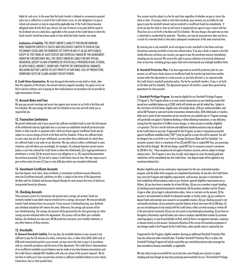liable for such error. In the event that the funds transfer is delayed or erroneously executed and a loss is suffered as a result of the Credit Union's error, its sole obligation is to pay or refund such amounts as may be required by applicable law. If the Credit Union becomes obligated under Article 4A to pay interest, the rate of interest to be paid shall be equal to the dividend rate on a daily basis, applicable to the account at the Credit Union to which the funds transfer should have been made or from which the funds transfer was made.

*Limitations of Liability.* THE CREDIT UNION'S LIABILITY FOR ONLINE BANKING WIRE TRANSFER SERVICES IS SOLELY AND EXCLUSIVELY LIMITED TO YOUR ACTUAL PECUNIARY LOSSES AND THE REMEDIES SET FORTH IN ARS 47-4A (AS APPLICABLE), EXCEPT AS THE TERMS OF SUCH STATUTE ARE EXPRESSLY VARIED BY THIS AGREEMENT. UNDER NO CIRCUMSTANCE WILL THE CREDIT UNION BE LIABLE FOR ANY SPECIAL, INCIDENTAL (EXCEPT AS MAY OTHERWISE BE SPECIFICALLY PROVIDED IN ARS 47.4A305, AS APPLICABLE), INDIRECT, EXEMPLARY, PUNITIVE OR CONSEQUENTIAL DAMAGES, INCLUDING BUT NOT LIMITED TO LOST PROFITS OF ANY KIND, LOSS OF PRODUCTION, DOWNTIME COSTS OR CLAIMS AGAINST YOU BY OTHERS.

*D. Credit Union Examination.* We may disregard information on any draft or check, other than the signature of the drawer, the amount and any magnetic encoding. You agree we do not fail to exercise ordinary care in paying an item solely because our procedures do not provide for sight examination of items.

#### **11. Account Rates and Fees**

We may pay account earnings and assess fees against your account as set forth in the Rate and Fee Schedule. We may change the Rate and Fee Schedule at any time and will notify you as required by law.

#### **12. Transaction Limitations**

We permit withdrawals only if your account has sufficient available funds to cover the full amount of the withdrawal and any applicable fees or you have an established overdraft protection plan. Checks or other transfer or payment orders which are drawn against insufficient funds may be subject to a service charge set forth in the Rate and Fee Schedule. If there are sufficient funds to cover some, but not all of your withdrawal, we may allow those withdrawals for which there are sufficient funds in any order at our discretion. We may refuse to allow a withdrawal in some situations, and will advise you accordingly; for example: (1) a dispute between account owners (unless a court has ordered the Credit Union to allow the withdrawal); (2) a legal garnishment or attachment is served; (3) the account secures any obligation to us; (4) required documentation has not been presented; (5) you fail to repay a Credit Union loan on time. We may require you to give written notice of seven (7) days to sixty (60) days before any intended withdrawals.

#### **13. Investment Certificate Accounts**

Any time deposit, term share, share certificate, or investment certificate account allowed by state law (Certificate Account), whichever we offer, is subject to the terms of this Agreement, the Rate and Fee Schedule and Account Deposit Receipt for each account the terms of which are incorporated herein by reference.

#### **14. Checking Accounts**

These accounts consist of a transaction sub account and a savings sub account. Funds not routinely needed to pay debits may be transferred to a savings sub account. We may periodically transfer funds between these two accounts. If your account is dividend bearing, your dividend, your dividend calculation will remain the same. Otherwise, the savings sub account will be non-divided bearing. The savings sub account will be governed by the rules governing our other savings account indicated within this Agreement. This process will not affect your available balance, the dividends you may earn, NCUA protection insurance, your monthly statement, or any other features of these accounts.

#### **15. Overdrafts**

*A. General Overdraft Liability.* If on any day, the available balance in your account is not sufficient to pay the full amount of a check, transaction, fees, or other items (ACH, debit card, or ATM card transactions) posted to your account, we may return the item or pay it in accordance with our overdraft procedures and the terms of this Agreement. The Credit Union's determination of an insufficient available account balance may be made at any time between presentation and the Credit Union's midnight MST deadline with only one review of the account required. We do not have to notify you if your account does not have a sufficient available balance to cover checks, transactions, fees or other posted items.

Your account may be subject to a fee for each item regardless of whether we pay or return the check or item. If we pay a check or item that overdraws your account, you are liable for and agree to pay the overdraft amount and an overdraft or insufficient funds fee immediately. If we do not pay the check or item we will return it unpaid and you agree to pay a return item fee. These fees are as set forth in the Rate and Fee Schedule. We may charge a fee each time an item is submitted or resubmitted for payment. Therefore, you may be assessed more than one fee as a result of a returned check or item and a subsequent resubmission of the same returned item.

By covering one or any overdraft, we do not agree to cover overdrafts in the future and may discontinue covering overdrafts at any time without notice. If we pay a check or impose a fee that would otherwise overdraw your account, you agree to pay the overdrawn amount immediately, including any fee assessed. We reserve the right to pursue collection of previously dishonored items at any time, including giving a payor bank extra time beyond any midnight deadline limits.

*B. Overdraft Protection Plan.* If we have approved an overdraft protection plan for your account, we will honor checks drawn on insufficient funds by transferring funds from another account under this Agreement or a loan account, as you have directed, or as required under the Credit Union's overdraft protection policy. The fee for overdraft transfers, if any, is set forth on the Rate and Fee Schedule. This Agreement governs all transfers, except those governed by agreements for loan accounts.

*C. Overdraft Privilege Program.* You may be eligible for our Overdraft Privilege Program ("Program"). This Program allows us to cover certain transactions on your checking account that exceed your available balance up to \$500, which will include any and all related fees. Subject to the restrictions set forth below, eligible items will include checks, ACH pre-authorized debits, and online Bill Payment or external transfer transactions initiated online. ATM withdrawals or transfers, debit card or point of sale transactions can be covered once you explicitly opt-in. Program coverage will specifically not apply to Telephone Banking or Online Banking transactions, or any deficiency arising from the imposition of TruWest service charges, or when account or member eligibility is in question. This list is not all-inclusive and additional standard exclusions may be adopted by the Credit Union at any time. If approved for this Program, an item or transaction presented against insufficient available funds ("NSF") may be paid by us and a fee will be imposed. You will be charged a fee as set forth in our Truth in Savings Disclosures (Rate and Fee Schedule). For consumer accounts, there is a maximum of two (2) paid NSF fees or unpaid NSF fees, per processing day that will be charged. We will not charge, a paid NSF fee if a consumer account is overdrawn by \$20.00 or less. These exceptions do not apply to business accounts, and are subject to change without notice. This Program is not a line of credit, and a deposit to cover the item(s) paid and related fees will be immediately due the Credit Union. Any deposit made will be applied to any overdrawn balance first.

Member eligibility and service continuance requirements for this non-contractual member program, and the dollar limits assigned, are completely discretionary. At any time, the Credit Union may revise the Program and eligibility requirements, and increase, decrease or terminate the limit established without advance notice to you. However, general eligibility requirements are as follows: (a) you have been a member for at least 60 days; (b) you are a member in good standing; (c) checking account opened and properly maintained; (d) the primary member must be 18 years of age or older; (e) no legal or administrative orders, levies or restraints on the account; (f) the account is not maintained on behalf of a deceased member or his/her estate; (g) you continue to deposit funds and maintain your account in an acceptable manner; (h) your checking account is not consistently overdrawn; (i) you maintain a positive balance at least once every thirty (30) days; (j) you are not delinquent on any loan(s) with the Credit Union, either currently existing or written off in the past and not recovered; (k) you are not a party to any bankruptcy proceeding; (l) you have no derogatory information reported under your name or taxpayer identification number by consumer reporting agency, as may be periodically verified; and (m) there is no apparent improper, suspicious or abusive activity on the account. Continued utilization of this service will constitute acceptance of any changes made to the Program by the Credit Union, unless specific notice is required by law.

If approved for this Program, eligible members desiring an additional Overdraft Protection Plan may also utilize one other overdraft plan. If another Overdraft Protection Plan is in place, the Overdraft Privilege Program will only be used after your overdraft protection plan coverage has been exceeded or become unavailable, as applicable.

We may refuse to pay an overdraft for you at any time, even though your account is in good standing and even though we may have previously paid overdrafts for you. The Overdraft Privilege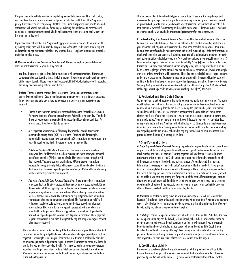Program does not constitute an actual or implied agreement between you and the Credit Union, nor does it constitute an actual or implied obligation of or by the Credit Union. This Program is a purely discretionary courtesy or privilege that the Credit Union may provide from time to time and withdraw at will. We will not be liable for damages, including, but not limited to, consequential damages, for checks we return unpaid. Checks will be returned to the presenting bank when your Program limit is depleted.

If you have been notified that this Program will apply to your account and you do not wish to utilize it, you may at any time withdraw from the Program by notifying the Credit Union. Please request and complete an opt-out form available at any branch office, or telephone us to request a form be mailed or emailed to you.

*D. How Transactions are Posted to Your Account.* This section explains generally how and when we post transactions to your checking account.

**Credits.** Deposits are generally added to your account when we receive them. However, in some cases when you deposit a check, the full amount of the deposit may not be available to you at the time of deposit. Please refer to the Funds Availability Policy for further details regarding the timing and availability of funds from deposits.

**Debits.** There are several types of debit transactions. Common debit transactions are generally described below. Keep in mind that there are many ways transactions are presented for payment by merchants, and we are not necessarily in control of when transactions are received.

- *• Checks.* When you write a check, it is processed through the Federal Reserve system. We receive data files of cashed checks from the Federal Reserve each day. The checks drawn on your account are compiled from these data files and paid each day. We process checks from low to high dollar value.
- *• ACH Payments.* We receive data files every day from the Federal Reserve with Automated Clearing House (ACH) transactions. These include, for example, automatic bill payments you have authorized. ACH transactions for your account are posted throughout the day in the order of receipt in the data file.
- *• PIN-Based Debit Card Purchase Transactions.* These are purchase transactions using your debit card for which a merchant may require you to enter your personal identification number (PIN) at the time of sale. They are processed through a PIN debit network. These transactions are similar to ATM withdrawal transactions because the money is usually deducted from your account immediately at the time of the transaction. However, depending on the merchant, a PIN-based transaction may not be immediately presented for payment.
- *• Signature-Based Debit Card Purchase Transactions.* These are purchase transactions using your debit card that are processed through a signature-based network. Rather than entering a PIN, you typically sign for the purchase; however, merchants may not require your signature for certain transactions. Merchants may seek authorization for these types of transactions. The authorization request places a hold on funds in your account when the authorization is completed. The "authorization hold" will reduce your available balance by the amount authorized but will not affect your actual balance. The transaction is subsequently processed by the merchant and submitted to us for payment. This can happen hours or sometimes days after the transaction, depending on the merchant and its payment processor. These payment requests are received in real time throughout the day and are posted to your account when they are received.

The amount of an authorization hold may differ from the actual payment because the final transaction amount may not yet be known to the merchant when you present your card for payment. For example, if you use your debit card at a restaurant, a hold will be placed in an amount equal to the bill presented to you; but when the transaction posts, it will include any tip that you may have added to the bill. This may also be the case where you present your debit card for payment at gas stations, hotels and certain other retail establishments. We cannot control how much a merchant asks us to authorize, or when a merchant submits a transaction for payment.

This is a general description of certain types of transactions. These practices may change, and we reserve the right to pay items in any order we choose as permitted by law. The order in which we process checks, drafts, or items, and execute other transactions on your account may affect the total amount of overdraft fees that may be charged to your account. Please contact us if you have questions about how we pay checks or drafts and process transfers and withdrawals.

*E. Understanding Your Account Balance.* Your account has two kinds of balances: the actual balance and the available balance. Your actual balance reflects the full amount of all deposits to your account as well as payment transactions that have been posted to your account. Your actual balance does not reflect checks you have written and are still outstanding or debit card transactions that have been authorized but are still pending. Your available balance is the amount of money in your account that is available for you to use. Your available balance is your actual balance less: (1) holds placed on deposits pursuant to our Funds Availability Policy; (2) holds on debit card or other transactions that have been authorized but are not yet posted; and (3) any other holds, such as holds related to pledges of account funds and minimum balance requirements, levies, or to comply with court orders. Overdrafts will be determined based on the "available balance" in your account at the time of presentment. Transactions may not be presented in the order which they occurred and the order in which checks or items are received and processed may affect if an overdraft occurs. You may check your available balance online by logging in at truwest.org, at an ATM, via TruWest mobile app, by visiting a credit union branch or by calling us at 1 (855) 878-9378.

#### **16. Postdated and Stale Dated Checks**

We may pay any check without regard to its date unless you notify us of a postdating. The notice must be given to us in time so that we can notify our employees and reasonably act upon the notice and must accurately describe the check, including the exact number, date, and amount. You understand that the exact information is necessary for the Credit Union's computer to identify the check. We are not responsible if you give us an incorrect or incomplete description, or untimely notice. You may make an oral notice which lapses in fourteen (14) calendar days unless confirmed in writing. A written notice is effective for six (6) months and may be renewed in writing from time to time. You agree not to deposit checks, drafts, or other items before they are properly payable. We are not obligated to pay any check drawn on your account which is presented more than six (6) months past its date.

#### **17. Stop Payment Orders**

*A. Stop Payment Order Request.* You may request a stop payment order on any check drawn on your account. To be binding an order must be dated, signed, and describe the account and check number and the exact amount. The stop payment will be effective if the Credit Union receives the order in time for the Credit Union to act upon the order and you state the number of the account, number of the check, and its exact amount. You understand that the exact information is necessary for the Credit Union's computer to identify the check. If you give us incorrect or incomplete information, we will not be responsible for failing to stop payment on the check. If the stop payment order is not received in time for us to act upon the order, we will not be liable to you or to any other party for payment of the check. If we recredit your account after paying a check over a valid and timely stop payment order, you agree to sign a statement describing the dispute with the payee, to transfer to us all of your rights against the payee or other holders of the check and to assist us in any legal action.

*B. Duration of Order.* You may make an oral stop payment order which will lapse within fourteen (14) calendar days unless confirmed in writing within that time. A written stop payment order is effective for six (6) months and may be renewed in writing from time to time. We do not have to notify you when a stop payment order expires.

*C. Liability.* Fees for stop payment orders are set forth on the Rate and Fee Schedule. You may not stop payment on any certified check, cashier's check, teller's check, or any other check, or payment guaranteed by us. Although payment of an item may be stopped, you may remain liable to any item holder, including us. You agree to indemnify and hold the Credit Union harmless from all costs, including attorney's fees, damages or claims related to our refusing payment of an item, including claims of any joint account owner, payee, or endorsee in failing to stop payment of an item as a result of incorrect information provided by you.

#### **18. Credit Union Liability**

If we do not properly complete a transaction according to this Agreement, we will be liable for your losses or damages not to exceed the amount of the transaction, except as otherwise provided by law. We will not be liable if: (1) your account contains insufficient funds for the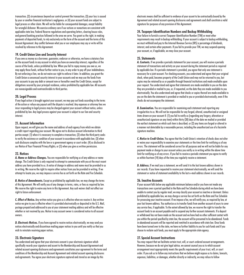transaction; (2) circumstances beyond our control prevent the transaction; (3) your loss is caused by your or another financial institution's negligence; or (4) your account funds are subject to legal process or other claim. We will not be liable for consequential damages, except liability for wrongful dishonor. We exercise ordinary care if our actions or nonactions are consistent with applicable state law, Federal Reserve regulations and operating letters, clearing house rules, and general banking practices followed in the area we serve. You grant us the right, in making payments of deposited funds, to rely exclusively on the form of the account and the terms of this Account Agreement. Any conflict between what you or our employees may say or write will be resolved by reference to this Agreement.

#### **19. Credit Union Lien and Security Interest**

If you owe us money as a borrower, guarantor, endorser or otherwise, we have a statutory lien on the account funds in any account in which you have an ownership interest, regardless of the source of the funds, unless prohibited by law. When you fail to repay money you owe us, we may apply these funds, without further notice to you, in any order to pay off your indebtedness. By not enforcing a lien, we do not waive our right to enforce it later. In addition, you grant the Credit Union a consensual security interest in your accounts and we may use the funds from your accounts to pay any debt or amount now or hereafter owed the Credit Union, except for obligations secured by your principal residence, unless prohibited by applicable law. All accounts are nonassignable and nontransferable to third parties.

#### **20. Legal Process**

If any legal action is brought against your account, we may pay out funds according to the terms of the action or refuse any payout until the dispute is resolved. Any expenses or attorney fees we incur responding to legal process may be charged against your account without notice, unless prohibited by law. Any legal process against your account is subject to our lien and security interest.

#### **21. Account Information**

Upon request, we will give you the name and address of each agency from which we obtain a credit report regarding your account. We agree not to disclose account information to third parties except: (1) when it is necessary to complete a transaction; (2) when the third party seeks to verify the existence or condition of your account in accordance with applicable law; (3) when such disclosure complies with the law or a government agency or court order; (4) as disclosed in our Notice of Your Financial Privacy Rights; or (5) when you give us written permission.

#### **22. Notices**

*A. Name or Address Changes.* You are responsible for notifying us of any address or name change. The Credit Union is only required to attempt to communicate with you at the most recent address you have provided to us. A notice of change in address and name must be provided to us in writing. We reserve the right to require other notices from you be provided in writing. If we attempt to locate you, we may impose a service fee as set forth on the Rate and Fee Schedule.

**B. Notice of Amendments.** Except as prohibited by applicable law, we may change the terms of this Agreement. We will notify you of any changes in terms, rates, or fees as required by law. We reserve the right to waive any term in this Agreement. Any such waiver shall not affect our right to future enforcement.

*C. Effect of Notice.* Any written notice you give us is effective when we receive it. Any written notice we give to you is effective when it is provided electronically or deposited in the U.S. Mail, postage prepaid and addressed to you at your statement mailing address and will be effective whether or not received by you. Notice to any account owner is considered notice to all account owners.

*D. Electronic Notices.* If you have agreed to receive notices electronically, we may send you notices electronically and discontinue mailing paper notices to you until you notify us that you wish to reinstate receiving paper notices.

#### **23. Electronic Signature**

You understand and agree that your electronic consent is your electronic signature which specifically records your signature and assent to the Membership and Account Agreement and related account opening disclosures and agreements constitutes your agreement to the terms and conditions of the Membership and Account Agreement and related account opening disclosures and agreements. You agree your electronic signature captured and stored as an image by this

electronic means shall be sufficient to evidence of your assent to be contractually bound by the Agreement and related account opening disclosures and agreements and shall constitute a valid signature for purposes of any provision of this Agreement.

#### **24. Taxpayer Identification Numbers and Backup Withholding**

Your failure to furnish a correct Taxpayer Identification Number (TIN) or meet other requirements may result in backup withholding. If your account is subject to backup withholding, we must withhold and pay to the Internal Revenue Service (IRS) a percentage of dividends, interest, and certain other payments. If you fail to provide your TIN, we may suspend opening your account, or, if applicable, we may close your account.

#### **25. Statements**

*A. Contents.* If we provide a periodic statement for your account, you will receive a periodic statement of transactions and activity on your account during the statement period as required by applicable law. If a periodic statement is provided, you agree that only one statement is necessary for a joint account. For checking accounts, you understand and agree that your original check, when paid, becomes property of the Credit Union and may not be returned to you, but copies may be retained by us or payable through financial institutions and made available upon your request. You understand and agree that statements are made available to you on the date they are provided or mailed to you, or, if requested, on the date they are made available to you electronically. You also understand and agree that checks or copies thereof are made available to you on the date the statement is provided or mailed to you or provided electronically, even if the checks do not accompany the statement.

*B. Examination.* You are responsible for examining each statement and reporting any irregularities to us. We will not be responsible for any forged, altered, unauthorized or unsigned items drawn on your account if: (1) you fail to notify us (regarding any forgery, alteration or unauthorized signature on any item) within thirty (30) days of the date we mailed or provided the earliest statement on which such item is described; or (2) any items are forged or altered in a manner not detectable by a reasonable person, including the unauthorized use of a facsimile signature machine.

*C. Notice to Credit Union.* You agree that the Credit Union's retention of checks does not alter or waive your responsibility to examine your statements or the time limit for notifying us of any errors. The statement will be considered correct for all purposes and we will not be liable for any payment made or charge to your account unless you notify us in writing within the above time limit for notifying us of any errors. If you fail to receive a periodic statement you agree to notify us within fourteen (14) days of the time you regularly receive a statement.

*D. Address.* If we mail you a statement, we will send it to the last known address shown in our records. If you have requested to receive your statement electronically, we will send the statement or notice of statement availability to the last e-mail address shown in our records.

#### **26. Inactive Accounts**

If your account falls below any applicable minimum balance and/or you have not made any transactions over a period specified in the Rate and Fee Schedule during which we have been unable to contact you by regular mail, we may classify your account as inactive or dormant. Unless prohibited by applicable law, we may charge a service fee set forth on the Rate and Fee Schedule for processing your inactive account. If we impose a fee, we will notify you, as required by law, at your last known address. You authorize us to transfer funds from another account of yours to cover any service fees, if applicable. To the extent allowed by law, we reserve the right to transfer the account funds to an account payable and to suspend any further account statements. If a deposit or withdrawal has not been made on the account and we have had no other sufficient contact with you within the period specified by state law, the account will be presumed to be abandoned. Funds in abandoned accounts will be reported and remitted in accordance with state law. Once funds have been turned over to the state, we have no further liability to you for such funds and if you choose to reclaim such funds, you must apply to the appropriate state agency.

#### **27. Special Account Instructions**

You may request that we facilitate certain trust, will, or court-ordered account arrangements. However, because we do not give legal advice, we cannot counsel you as to which account arrangement most appropriately meets the specific requirements of your trust, will, or court order. If you ask us to follow any instructions that we believe might expose us to claims, lawsuits, expenses, liabilities, or damages, whether directly or indirectly, we may refuse to follow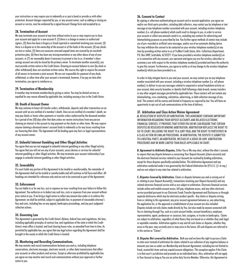your instructions or may require you to indemnify us or post a bond or provide us with other protection. Account changes requested by you, or any account owner, such as adding or closing an account or service, must be evidenced by a signed Account Change form and accepted by us.

#### **28. Termination of Account**

We may terminate your account at any time without notice to you or may require you to close your account and apply for a new account if: (1) there is a change in owners or authorized signers; (2) there has been a forgery or fraud reported or committed involving your account; (3) there is a dispute as to the ownership of the account or of the funds in the account; (4) any checks are lost or stolen; (5) there are excessive returned unpaid items not covered by an overdraft protection plan; (6) there has been any misrepresentation or any other abuse of any of your accounts; or (7) we reasonably deem it necessary to prevent a loss to us. A member's share savings account can only be closed by the primary owner. To terminate another account(s), you must provide written notice to the Credit Union. Drawing an account balance to zero (by check or other withdrawal) does not constitute written notice. We reserve the right to require the consent of all owners to terminate a joint account. We are not responsible for payment of any check, withdrawal, or other item after your account is terminated, however, if we pay an item after termination, you agree to reimburse us.

#### **29. Termination of Membership**

A member may terminate membership by giving us notice. You may be denied services or expelled for any reason allowed by applicable law, including causing a loss to the Credit Union.

#### **30. Death of Account Owner**

We may continue to honor all transfer orders, withdrawals, deposits and other transactions on an account until we are notified of a member's death. Once we are notified of a member's death, we may pay checks or honor other payments or transfer orders authorized by the deceased member for a period of ten (10) days after that date unless we receive instructions from any person claiming an interest in the account to stop payment on the checks or other items. We may require anyone claiming a deceased owner's account funds to indemnify us for any losses resulting from our honoring that claim. This Agreement will be binding upon any heirs or legal representatives of any account owner.

#### **31. Unlawful Internet Gambling and Other Illegal Activities**

You agree that you are not engaged in unlawful internet gambling or any other illegal activity. You agree that you will not use any of your accounts, access devices or services for unlawful internet gambling or other illegal activities. We may terminate your account relationship if you engage in unlawful internet gambling or other illegal activities.

#### **32. Severability**

If a court holds any portion of this Agreement to be invalid or unenforceable, the remainder of this Agreement shall not be invalid or unenforceable and will continue in full force and effect. All headings are intended for reference only and are not to be construed as part of the Agreement.

#### **33. Enforcement**

You are liable to us for any loss, cost or expense we incur resulting from your failure to follow this Agreement. You authorize us to deduct any such loss, costs or expenses from your account without prior notice to you. If we bring a legal action to collect any amount due under or to enforce this Agreement, we shall be entitled, subject to applicable law, to payment of reasonable attorney's fees and costs, including fees on any appeal, bankruptcy proceedings, and any post-judgment collection actions.

#### **34. Governing Law**

This Agreement is governed by the Credit Union's Bylaws, federal laws and regulations, the laws, including applicable principles of contract law, and regulations of the state in which the Credit Union's main office is located, and local clearing house rules, as amended from time to time. As permitted by applicable law, you agree that any legal action regarding this Agreement shall be brought in the county in which the Credit Union is located.

#### **35. Monitoring and Recording Communications.**

We may monitor and record communications between you and us, including telephone conversations, electronic messages, electronic records, or other data transmissions that affect your accounts or other products and services. Except as otherwise prohibited by applicable law, you agree we may monitor and record such communications without your approval or further notice to you.

#### **36. Consent to Contact**

By signing or otherwise authenticating an account card or account application, you agree we and/or our third-party providers, including debt collectors, may contact you by telephone or text message at any telephone number associated with your account, including wireless telephone numbers (i.e. cell phone numbers) which could result in charges to you, in order to service your account or collect any amounts owed to us, excluding any contacts for advertising and telemarketing purposes as prescribed by law. You further agree methods of contact may include use of pre-recorded or artificial voice messages, and/or use of an automatic dialing device. You may withdraw the consent to be contacted on your wireless telephone number(s) at any time by providing written notice to us at TruWest Credit Union, Attn: Collections Department, P.O. Box 3489, Scottsdale, AZ 85271. If you have provided a wireless telephone number(s) on or in connection with any account, you represent and agree you are the wireless subscriber or customary user with respect to the wireless telephone number(s) provided and have the authority to give this consent. Furthermore, you agree to notify us of any change to the wireless telephone number(s) which you have provided to us.

In order to help mitigate harm to you and your account, we may contact you on any telephone number associated with your account, including a wireless telephone number (i.e. cell phone number), to deliver to you any messages related to suspected or actual fraudulent activity on your account, data security breaches or identity theft following a data breach, money transfers or any other exigent messages permitted by applicable law. These contacts will not contain any telemarketing, cross-marketing, solicitation, advertising, or debt collection message of any kind. The contacts will be concise and limited in frequency as required by law. You will have an opportunity to opt-out of such communications at the time of delivery.

#### **37. Arbitration and Class Action Waiver Agreement**

*A.* RESOLUTION OF DISPUTES BY ARBITRATION: THIS AGREEMENT CONTAINS IMPORTANT INFORMATION REGARDING YOUR DEPOSIT ACCOUNTS AND RELATED ELECTRONIC FINANCIAL SERVICES. IT PROVIDES THAT EITHER YOU OR WE CAN REQUIRE THAT CERTAIN DISPUTES BE RESOLVED BY BINDING ARBITRATION. ARBITRATION REPLACES THE RIGHT TO GO TO COURT, INCLUDING THE RIGHT TO A JURY TRIAL AND THE RIGHT TO PARTICIPATE IN A CLASS ACTION OR SIMILAR PROCEEDING. IN ARBITRATION, THE DISPUTE IS SUBMITTED TO A NEUTRAL PARTY, AN ARRITRATOR, INSTEAD OF A JUDGE OR JURY. ARBITRATION PROCEDURES MAY BE MORE LIMITED THAN RULES APPLICABLE IN COURT.

*B. Agreement to Arbitrate Disputes.* Either You or We may elect, without the other's consent, to require that any dispute between us concerning Your Deposit Accounts (share accounts) and the electronic financial services related to your Accounts be resolved by binding arbitration, except for those disputes specifically excluded below. This Arbitration Agreement and any arbitration conducted under it are governed by the Federal Arbitration Act (9 U.S.C. § 1 et seq.) and are not subject to any state law related to arbitration.

*C. Disputes Covered by Arbitration.* Claims or disputes between you and us arising out of or relating to your Deposit Account(s), transactions involving your Deposit Account(s) and any related electronic financial service with us are subject to arbitration. Electronic financial services include online and mobile account access, bill pay, telephone access, and any other electronic service provided pursuant to our Electronic Funds Transfer Agreement and Disclosures or through separate disclosures which may be electronic product specific. Any claims or disputes arising from or relating to this agreement, any prior account agreement between us, any advertising, the application for, or the approval or establishment of your account are also included. Disputes include not only claims made directly by You, but also made by anyone connected with You or claiming through You, such as a joint account holder, account beneficiary, employee, representative, agent, predecessor or successor, heir, assignee, or trustee in bankruptcy. Claims are subject to arbitration, regardless of what theory they are based on or whether they seek legal or equitable remedies. Arbitration applies to any and all such claims or disputes, whether they arose in the past, may currently exist or may arise in the future. All such disputes are referred to in this section as "Claims".

*D. Disputes Not covered by Arbitration.* Both you and we have the right to pursue a Claim in state court instead of arbitration for claims related to our collection of any negative balance or amounts you owe us under our Membership and Account Agreement, including but not limited to: fraud, counterfeit items and any unpaid account obligations. This exception applies if the Claim is in that court's jurisdiction and proceeds on an individual basis. Also, arbitration will not apply to Your Account as long as You are an active duty Service Member. Otherwise, this Agreement to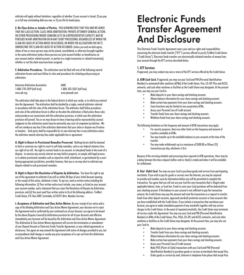arbitrate will apply without limitation, regardless of whether 1) your account is closed; 2) you pay us in full any outstanding debt you owe; or 3) you file for bankruptcy.

*E. No Class Action or Joinder of Parties.* YOU ACKNOWLEDGE THAT YOU AND WE AGREE THAT NO CLASS ACTION, CLASS-WIDE ARBITRATION, PRIVATE ATTORNEY GENERAL ACTION, OR OTHER PROCEEDING WHERE SOMEONE ACTS IN A REPRESENTATIVE CAPACITY, MAY BE PURSUED IN ANY ARBITRATION OR IN ANY COURT PROCEEDING, REGARDLESS OF WHEN THE CLAIM OR CAUSE OF ACTION AROSE OR ACCRUED, OR WHEN THE ALLEGATIONS OR FACTS UNDERLYING THE CLAIM OR CAUSE OF ACTION OCCURRED. Unless you and we both agree, claims of two or more persons may not be joined, consolidated, or otherwise brought together in the same arbitration (unless those persons are joint account holders or beneficiaries on your account and/or related accounts, or parties to a single transaction or related transaction), whether or not the claim may have been assigned.

*F. Arbitration Procedures.* The arbitration must be filed with one of the following neutral arbitration forums and must follow its rules and procedures for initiating and pursuing an arbitration:

| <b>American Arbitration Association</b> | JAMS                       |
|-----------------------------------------|----------------------------|
| 1-800-778-7879 (toll-free)              | 1-800-352-5267 (toll free) |
| www.adr.org                             | www.jamsadr.com            |

The arbitration shall take place in the federal district in which you reside, or in which you entered into this Agreement. The arbitration shall be decided by a single, neutral arbitrator selected in accordance with the rules of the arbitration forum. The arbitrator shall follow procedures and rules of the arbitration forum in effect on the date the arbitration is filed unless those rules and procedures are inconsistent with this arbitration provision, in which case this arbitration provision will prevail. You or we may choose to have a hearing and be represented by counsel. Judgment on the arbitration award may be entered by any court of competent jurisdiction. We will not reimburse any fees if the arbitrator determines that your claim or dispute was frivolous or baseless. Each party shall be responsible for its own attorney fees in any arbitration unless the arbitrator awards attorney fees under applicable law or agreement.

*G. Right to Resort to Provisional Remedies Preserved.* Nothing herein shall be deemed to limit or constrain our right to resort to self-help remedies, such as our federal statutory lien; our right of set-off; the right to restrain funds in an account; to interplead funds in the event of a dispute; to exercise any security interest we may hold in property; to comply with legal process; or to obtain provisional remedies such as injunctive relief, attachment, or garnishment by a court having appropriate jurisdiction; provided, however, that you or we may elect to arbitrate any dispute related to such provisional remedies.

*H. Right to Reject this Resolution of Disputes by Arbitration.* You have the right to opt out of this agreement to arbitrate if you tell us within 30 days of your initial Account opening or the receipt of this notice, whichever is later. To opt out, send us written notice including the following information: (i) Your written notice must include: your name, as listed on your account, your account number, and a statement that you reject the Resolution of Disputes by Arbitration provision, and (ii) You must send Your written notice to Us at the following address: TruWest Credit Union, P.O. Box 3489, Scottsdale, AZ 85271 Attn: Member Services.

*I. Acceptance of Arbitration and Class Action Waiver.* By your receipt of our notice and a copy of this Binding Arbitration and Class Action Waiver Agreement, your decision not to reject this Agreement and as confirmed by your continued use of your Account, you agree to be bound by the above Disputes Covered by Arbitration provision for all of your Accounts and effective immediately your Accounts will be bound by this Arbitration and Class Action Waiver Agreement. This Arbitration & Class Action Waiver Agreement will survive the termination or amendment of your Deposit Account or Electronic Funds Transfer Agreement, or any related agreements or disclosures. You agree we may amend this Agreement with notice of changes provided to you, but no amendment shall change or revoke any prior acceptance of or opt-out from this Arbitration and Class Action Waiver Agreement.

### **Electronic Funds Transfer Agreement And Disclosure**

This Electronic Funds Transfer Agreement covers your and our rights and responsibilities concerning the electronic funds transfer ("EFT") services offered to you by TruWest Credit Union ("Credit Union"). Electronic funds transfers are electronically initiated transfers of money from your account through the EFT services described below.

#### **1. EFT Services**

If approved, you may conduct any one or more of the EFT services offered by the Credit Union.

*A. ATM Cash Card.* If approved, you may use your Card and PIN (Personal Identification Number) in automated teller machines (ATMs) of the Credit Union, Visa, CO-OP, Plus and ACCEL networks, and such other machines or facilities as the Credit Union may designate. At the present time, you may use your Card to:

- Make deposits to your share savings and checking accounts.
- Obtain balance information for your share savings and checking accounts.
- Make certain loan payments from your share savings and checking accounts.
- Some functions may be limited at non-proprietary ATMs.
- Access your Personal Line of Credit account.
- Transfer funds from your share savings and checking accounts.
- Withdraw funds from your share savings and checking accounts.

The following limitations on the frequency and amount of ATM transactions may apply:

- For security purposes, there are other limits on the frequency and amount of transfers available at ATMs.
- You may transfer up to the available balance in your accounts at the time of the transfer.
- You may make withdrawals up to a maximum of \$500.00 or fifteen (15) transactions per day, whichever is first.

Because of the servicing schedule and processing time required in ATM operations, there may be a delay between the time a deposit (either cash or check) is made and when it will be available for withdrawal.

*B. Visa® Debit Card.* You may use your Card to purchase goods and services from participating merchants. If you wish to pay for goods or services over the Internet, you may be required to provide card number security information before you will be permitted to complete the transaction. You agree that you will not use your Card for any transaction that is illegal under applicable federal, state, or local law. Funds to cover your Card purchases will be deducted from your checking account. If the balance in your account is not sufficient to pay the transaction amount, the Credit Union may pay the amount and treat the transaction as a request to transfer funds from other deposit accounts, approved overdraft protection accounts or loan accounts that you have established with the Credit Union. If you initiate a transaction that overdraws your Account, you agree to make immediate payment of any overdrafts together with any service charges to the Credit Union. In the event of repeated overdrafts, the Credit Union may terminate all services under this Agreement. You may use your Card and PIN (Personal Identification Number) in ATMs of the Credit Union, Plus, VISA, CO-OP, and ACCEL networks, and such other machines or facilities as the Credit Union may designate. At the present time, you may also use your Card to:

- Make deposits to your share savings and checking accounts.
- Transfer funds from your share savings and checking accounts.
- Obtain balance information for your share savings and checking accounts.
- Make certain loan payments from your share savings and checking accounts.
- Access your Personal Line of Credit account.
- Make POS (Point-of-Sale) transactions with your Card and PIN (Personal Identification Number) to purchase goods or services at merchants that accept Visa.
- Order goods or services by mail, Internet or telephone from places that accept Visa.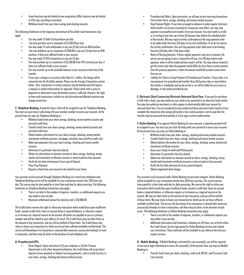- Some functions may be limited at non-proprietary ATMs; features may be limited to POS only, according to merchant.
- Withdraw funds from your share savings and checking accounts.

The following limitations on the frequency and amount of Visa Debit Card transactions may apply:

- You may make 15 Debit Card purchases per day.
- You may purchase up to a maximum of \$3,500.00 per day.
- You may make 15 cash withdrawals in any one (1) day from an ATM machine.
- You may withdraw up to a maximum of \$500.00 in any one (1) day from an ATM machine, if there are sufficient funds in your account.
- You may make 15 POS transactions in any one (1) day.
- You may purchase up to a maximum of \$3,500.00 from POS terminals per day, if there are sufficient funds in your account.
- You may transfer up to the available balance in your accounts at the time of the transfer.
- If you incur a charge in a currency other than U.S. dollars, the charge will be converted into the US dollar amount. Please see the Foreign Transactions section below. Also, transactions in certain countries may be blocked and will require a manual or verbal authorization for approval. Please check with us prior to departure to determine if your destination country is affected. However, the right to deny such transactions is within our sole discretion and affected countries may change at any time.

*C. Telephone Banking.* A separate Access Code will be assigned to you for Telephone Banking. You must use your Access Code along with your member number to access your accounts. At the present time you may use Telephone Banking to:

- Withdraw funds from your share savings, checking, money market accounts and personal credit lines.
- Transfer funds from your share savings, checking, money market accounts and personal credit lines.
- Obtain balance information for your share savings, checking, money market, investment certificate accounts, mortgage, consumer loans and Visa credit card.
- Make loan payments from your share savings, checking and money market accounts.
- Determine if a particular item has cleared.
- Obtain tax information on amounts earned on share savings, checking, money market and investment certificates accounts or interest paid on loan accounts.
- Verify the last date and amount of your payroll deposit.
- Place Stop Payment.
- Request a check from your account to be mailed to your home.

Your accounts can be accessed through Telephone Banking via a touch tone telephone only. Telephone Banking service will be available for your convenience twenty-four (24) hours per day. This service may be interrupted for a short time each day for data processing. The following limitations on Telephone Banking transactions may apply:

- There is no limit to the number of inquiries, transfers, or withdrawal requests you may make in any one day.
- Maximum withdrawal amount for check by mail is \$10,000.00.

The Credit Union reserves the right to refuse any transaction which would draw upon insufficient funds, exceed a credit limit, lower an account below a required balance, or otherwise require us to increase our required reserve on the account. All checks are payable to you as a primary member and will be mailed to your address of record. The Credit Union may set other limits on the amount of any transaction, and you will be notified of those limits. The Credit Union may refuse to honor any transaction for which you do not have sufficient available verified funds. The service will discontinue if no transaction is entered after numerous unsuccessful attempts to enter a transaction, and there may be limits on the duration of each telephone call.

#### *D. Preauthorized EFTs.*

• Direct Deposit. Upon instruction of (i) your employer or (ii) the Treasury Department or (iii) other financial institutions, the Credit Union will accept direct deposits of your paycheck or federal recurring payments, such as Social Security, to your share, savings, checking and money market account.

- Preauthorized Debits. Upon instruction, we will pay certain recurring transactions from certain share, savings, checking, and money market accounts.
- Stop Payment Rights. If you have arranged in advance to make regular electronic fund transfers out of your account(s) for money you owe others, you may stop payment on preauthorized transfers from your account. You must notify us orally or in writing at any time up to three (3) business days before the scheduled date of the transfer. We may require written confirmation of the stop payment order to be made within fourteen (14) days of any oral notification. If we do not receive the written confirmation, the oral stop payment order shall cease to be binding fourteen (14) days after it has been made.
- Notice of Varying Amounts. If these regular payments may vary in amount, the person you are going to pay is required to tell you, ten (10) days before each payment, when it will be made and how much it will be. You may choose instead to get this notice only when the payment would differ by more than a certain amount from the previous payment or when the amount would fall outside certain limits that you set.
- Liability for Failure to Stop Payment of Preauthorized Transfers. If you order us to stop payment of a preauthorized transfer three (3) business days or more before the transfer is scheduled, and we do not do so, we will be liable for your losses or damages, to the extent provided by law.

*E. Electronic Check Conversion/Electronic Returned Check Fees.* If you pay for purchases or bills with a check, you may authorize your check to be converted to an electronic fund transfer. You may also authorize merchants or other payees to electronically debit your account for returned check fees. You are considered to have authorized these electronic funds transfers if you complete the transaction after being told (orally or by a notice posted or sent to you) that the transfer may be processed electronically or if you sign a written authorization.

*F. Online Banking.* If we approve Online Banking for your accounts, a separate password will be assigned to you. You must use your User ID along with your password to access your accounts. At the present time, you may use Online Banking to:

- Withdraw funds from your share, savings, checking and money market accounts.
- Transfer funds from your share, savings, checking and money market accounts.
- Obtain balance information for your share, savings, checking, money market and investment certificate accounts.
- Access your line(s) of credit and VISA account.
- Determine if a particular item has cleared.
- Obtain tax information on amounts earned on share, savings, checking, money market and investment certificate accounts or interest paid on loan accounts.
- Verify the last date and amount of your payroll deposit.
- Obtain negotiated check images.

Your accounts can be accessed under Online Banking via personal computer. Online Banking will be available for your convenience twenty-four (24) hours per day. This service may be interrupted for a short time each day for data processing. We reserve the right to refuse any transaction which would draw upon insufficient funds, exceed a credit limit, lower an account below a required balance, or otherwise require us to increase our required reserve on the account. We may set other limits on the amount of any transaction, and you will be notified of those limits. We may refuse to honor any transaction for which you do not have sufficient available verified funds. The service will discontinue if no transaction is entered after numerous unsuccessful attempts to enter a transaction, and there may be limits on the duration of each access. The following limitations on Online Banking transactions may apply:

- There is no limit to the number of inquiries, transfers, or withdrawal requests you may make in any one day.
- Additional information and limitations, including cut-off times, are set forth within the Credit Union's Service Agreement for Online Banking Services and related user instructions. These materials will be available to you online at the time you request services.

*G. Mobile Banking.* If Mobile Banking is activated for your account(s), you will be required to use secure login information to access the account(s). At the present time, you may use Mobile Banking to:

• Transfer funds from your share, checking, credit card, HELOC, and Personal Credit Line accounts.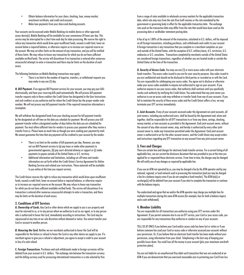- Obtain balance information for your share, checking, loan, money market, investment certificate, and credit card accounts.
- Make loan payments from your share and checking accounts.

Your accounts can be accessed under Mobile Banking via mobile device or other approved access device(s). Mobile Banking will be available for your convenience 24 hours per day. This service may be interrupted for a short time each day for data processing. We reserve the right to refuse any transaction which would draw upon insufficient funds, exceed a credit limit, lower an account below a required balance, or otherwise require us to increase our required reserve on the account. We may set other limits on the amount of any transaction, and you will be notified of those limits. We may refuse to honor any transaction for which you do not have sufficient available verified funds. The service will discontinue if no transaction is entered after numerous unsuccessful attempts to enter a transaction and there may be limits on the duration of each access.

The following limitations on Mobile Banking transactions may apply:

• There is no limit to the number of inquiries, transfers, or withdrawal requests you may make in any one (1) day.

*H. Bill Payment.* If we approve Bill Payment services for your account, you may pay your bills electronically, and have your recurring bills paid automatically. We will process bill payment transfer requests only to those creditors the Credit Union has designated in the User Instructions and such creditors as you authorize and for whom the Credit Union has the proper vendor code number. We will not process any bill payment transfer if the required transaction information is incomplete.

We will withdraw the designated funds from your checking account for bill payment transfer by the designated cut-off time on the date you schedule for payment. We will process your bill payment transfer within a designated number of days before the date you are scheduled for payment. You must allow sufficient time for vendors to process your payment after they receive a transfer from us. Please leave as much time as though you were sending your payment by mail. We cannot guarantee the time that any payment will be credited to your account by the vendor.

- There is no limit on the number of bill payments per day. However, you may not use Bill Payment services to (a) pay taxes or make other payments to governmental agencies, (b) pay court-directed alimony or support or (c) make payments to payees outside of the United States or U.S. territory.
- Additional information and limitations, including cut-off times and vendor information are set forth within the Credit Union's Service Agreement for Online Banking Services and related user instructions. These materials will be available to you online at the time you request services.

The Credit Union reserves the right to refuse any transaction which would draw upon insufficient funds, exceed a credit limit, lower an account below a required balance, or otherwise require us to increase our required reserve on the account. We may refuse to honor any transaction for which you do not have sufficient available verified funds. The service will discontinue if no transaction is entered after numerous unsuccessful attempts to enter a transaction, and there may be limits on the duration of each access.

#### **2. Conditions of EFT Services**

*A. Ownership of Cards.* Any Card or other device which we supply to you is our property and must be returned to us, or to any person whom we authorize to act as our agent, or to any person who is authorized to honor the Card, immediately according to instructions. The Card may be repossessed at any time at our sole discretion without demand or notice. You cannot transfer your Card or account to another person.

*B. Honoring the Card.* Neither we nor merchants authorized to honor the Card will be responsible for the failure or refusal to honor the Card or any other device we supply to you. If a merchant agrees to give you a refund or adjustment, you agree to accept a credit to your account in lieu of a cash refund.

*C. Foreign Transactions*. Purchases and cash withdrawals made in foreign currencies will be debited from your account in U.S. dollars. The exchange rate between the transaction currency and the billing currency used for processing international transactions is a rate selected by Visa

from a range of rates available in wholesale currency markets for the applicable transaction date, which rate may vary from the rate Visa itself receives or the rate mandated by the government or governing body in effect for the applicable transaction date. The exchange rate used on the transaction date may differ from the rate that would have been used on the processing date or cardholder statement posting date.

A fee of up to 1.00% of the amount of the transaction, calculated in U.S. dollars, will be imposed on all foreign transactions, including purchases, cash withdrawals and credits to your account. A foreign transaction is any transaction that you complete or a merchant completes on your card outside of the United States, with the exception of U.S. military bases, U.S. territories, U.S. embassies or U.S. consulates. Transactions completed by merchants outside of the United States are considered foreign transactions, regardless of whether you are located inside or outside the United States at the time of the transaction.

*D. Security of Access Code.* You may use one (1) or more access codes with your electronic funds transfers. The access codes issued to you are for your security purposes. Any codes issued to you are confidential and should not be disclosed to third parties or recorded on or with the Card. You are responsible for safekeeping your access codes. You agree not to disclose or otherwise make your access codes available to anyone not authorized to sign on your accounts. If you authorize anyone to use your access codes, that authority shall continue until you specifically revoke such authority by notifying the Credit Union. You understand that any joint owner you authorize to use an access code may withdraw or transfer funds from any of your accounts. If you fail to maintain the security of these access codes and the Credit Union suffers a loss, we may terminate your EFT services immediately.

*E. Joint Accounts.* If any of your accounts accessed under this Agreement are joint accounts, all joint owners, including any authorized users, shall be bound by this Agreement and, alone and together, shall be responsible for all EFT transactions to or from any share, savings, checking, money market, or loan accounts as provided in this Agreement. Each joint account owner, without the consent of any other account owner, may, and hereby is authorized by every other joint account owner to, make any transaction permitted under this Agreement. Each joint account owner is authorized to act for the other account owners, and the Credit Union may accept orders and instructions regarding any EFT transaction on any account from any joint account owner.

#### **3. Fees and Charges**

There are certain fees and charges for electronic funds transfer services. For a current listing of all applicable fees, see our current fee disclosure document that was provided to you at the time you applied for or requested these electronic services. From time to time, the charges may be changed. We will notify you of any changes as required by applicable law.

If you use an ATM not operated by us, you may be charged a fee by the ATM operator and by any national, regional, or local network used in processing the transaction (and you may be charged a fee for a balance inquiry even if you do not complete a fund transfer). The ATM fee(s) or surcharge(s) will be debited from your account if you elect to complete the transaction or continue with the balance inquiry.

You understand and agree that we and/or the ATM operator may charge you multiple fees for multiple transactions during the same ATM session (for example, fees for both a balance inquiry and a cash withdrawal).

#### **4. Member Liability**

You are responsible for all transactions you authorize using your EFT services under this Agreement. If you permit someone else to use an EFT service, your Card or your access code, you are responsible for any transactions they authorize or conduct on any of your accounts.

TELL US AT ONCE if you believe your Card and/or access code has been lost or stolen or if you believe someone has used your Card or access code or otherwise accessed your accounts without your permission. Or, if you believe that an electronic fund transfer has been made without your permission, using information from your check. Telephoning is the best way of keeping your possible losses down. You could lose all the money in your account (plus your maximum overdraft protection plans).

You are not liable for an unauthorized Visa debit card transaction that was not conducted at an ATM if you can demonstrate that you exercised reasonable care in protecting your Card from loss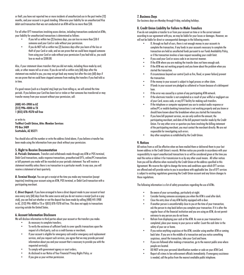or theft, you have not reported two or more incidents of unauthorized use in the past twelve (12) months, and your account is in good standing. Otherwise your liability for an unauthorized Visa debit card transaction that was not conducted at an ATM will be no more than \$50.

For all other EFT transactions involving access devices, including transactions conducted at ATMs, your liability for unauthorized transactions is determined as follows:

- If you tell us within two (2) business days, you can lose no more than \$50 if someone used your Card or code without your permission.
- If you do NOT tell us within two (2) business days after you learn of the loss or theft of your Card or code, and we can prove that we could have stopped someone from using your Card or code without your permission if you had told us, you could lose as much as \$500.00.

Also, if your statement shows transfers that you did not make, including those made by card, code, or other means tell us at once. If you do not tell us within sixty (60) days after the statement was mailed to you, you may not get back any money lost after the sixty (60) days if we can prove that we could have stopped someone from making the transfers if you had told us in time.

If a good reason (such as a hospital stay) kept you from telling us, we will extend the time periods. If you believe your Card has been lost or stolen or that someone has transferred or may transfer money from your account without your permission, call:

**(480) 441-5900 in AZ (512) 996-4000 in TX 1 (855) 878-9378 toll free** 

or write to: **TruWest Credit Union, Attn: Member Services PO Box 3489 Scottsdale, AZ 85271**

You should also call the number or write the address listed above, if you believe a transfer has been made using the information from your check without your permission.

#### **5. Right to Receive Documentation**

*A. Periodic Statements.* Transfers and withdrawals made through any ATM or POS terminal, Debit Card transactions, audio response transactions, preauthorized EFTs, online/PC transactions or bill payments you make will be recorded on your periodic statement. You will receive a statement monthly unless there is no transaction in a particular month. In any case, you will receive a statement at least quarterly.

*B. Terminal Receipt.* You can get a receipt at the time you make any transaction (except inquiries) involving your account using an ATM, POS terminal, or Debit Card transaction with a participating merchant.

*C. Direct Deposit.* If you have arranged to have a direct deposit made to your account at least once every sixty (60) days from the same source and you do not receive a receipt (such as a pay stub), you can find out whether or not the deposit has been made by calling (480) 441-5900 in AZ, (512) 996-4000 in TX or 1(855) 878-9378 toll free. This does not apply to transactions occurring outside the United States.

#### **6. Account Information Disclosure**

We will disclose information to third parties about your account or the transfers you make:

- As necessary to complete transfers;
- To verify the existence of sufficient funds to cover specific transactions upon the request of a third party, such as a credit bureau or merchant;
- If your account is eligible for emergency cash and/or emergency card replacement services, and you request such services, you agree that we may provide personal information about you and your account that is necessary to provide you with the requested service(s);
- To comply with government agency or court orders:
- As disclosed in our Notice of Your Financial Privacy Rights Policy; or
- If you give us your written permission.

#### **7. Business Days**

Our business days are Monday through Friday, excluding holidays.

#### **8. Credit Union Liability for Failure to Make Transfers**

If we do not complete a transfer to or from your account on time or in the correct amount according to our agreement with you, we may be liable for your losses or damages. However, we will not be liable for direct or consequential damages in the following events:

- If, through no fault of ours, there is not enough money in your accounts to complete the transaction, if any funds in your accounts necessary to complete the transaction are held as uncollected funds pursuant to our Funds Availability Policy, or if the transaction involves a loan request exceeding your credit limit.
- If you used your Card or access code in an incorrect manner.
- If the ATM where you are making the transfer does not have enough cash.
- If the ATM was not working properly and you knew about the problem when you started the transaction.
- If circumstances beyond our control (such as fire, flood, or power failure) prevent the transaction.
- If the money in your account is subject to legal process or other claim.
- If funds in your account are pledged as collateral or frozen because of a delinquent loan.
- If the error was caused by a system of any participating ATM network.
- If the electronic transfer is not completed as a result of your willful or negligent use of your Card, access code, or any EFT facility for making such transfers.
- If the telephone or computer equipment you use to conduct audio response or online/PC or mobile banking transactions is not working properly and you know or should have known about the breakdown when you started the transaction.
- If you have bill payment services, we can only confirm the amount, the participating merchant, and date of the bill payment transfer made by the Credit Union. For any other error or question you have involving the billing statement of the participating merchant, you must contact the merchant directly. We are not responsible for investigating such errors.
- Any other exceptions as established by the Credit Union.

#### **9. Notices**

All notices from us will be effective when we have mailed them or delivered them to your last known address in the Credit Union's records. Written notice you provide in accordance with your responsibility to report unauthorized transactions to us will be considered given at the time you mail the notice or deliver it for transmission to us by any other usual means. All other notices from you will be effective when received by the Credit Union at the address specified in this Agreement. We reserve the right to change the terms and conditions upon which EFT services are offered and will provide notice to you in accordance with applicable law. Use of EFT services is subject to existing regulations governing the Credit Union account and any future changes to those regulations.

The following information is a list of safety precautions regarding the use of ATMs.

- Be aware of your surroundings, particularly at night.
- Consider having someone accompany you when the ATM is used after dark.
- Close the entry door of any ATM facility equipped with a door.
- If another person is uncomfortably close to you at the time of your transaction, ask the person to step back before you complete your transaction. If it is after the regular hours of the financial institution and you are using an ATM, do not permit entrance to any person you do not know.
- Refrain from displaying your cash at the ATM. As soon as your transaction is completed, place your money in your purse or wallet. Count the cash later in the safety of your car or home.
- If you notice anything suspicious at the ATM, consider using another ATM or coming back later. If you are in the middle of a transaction and you notice something suspicious, cancel the transaction, take your Card and leave.
- If you are followed after making a transaction, go to the nearest public area where people are located.
- DO NOT write your personal identification number or code on your ATM Card.
- Report all crimes to law enforcement officials immediately. If emergency assistance is needed, call the police from the nearest available public telephone.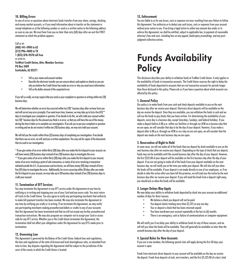#### **10. Billing Errors**

In case of errors or questions about electronic funds transfers from your share, savings, checking and money market accounts, or if you need information about a transfer on the statement or receipt telephone us at the following number or send us a written notice to the following address as soon as you can. We must hear from you no later than sixty (60) days after we sent the FIRST statement on which the problem appears.

Call us at: **(480) 441-5900 in AZ (512) 996-4000 in TX 1 (855) 878-9378 toll free**  or write to: **TruWest Credit Union, Attn: Member Services PO Box 3489 Scottsdale, AZ 85271**

- Tell us your name and account number.
- Describe the electronic transfer you are unsure about, and explain as clearly as you can why you believe the Credit Union has made an error or why you need more information.
- Tell us the dollar amount of the suspected error.

If you tell us orally, we may require that you send us your complaint or question in writing within ten (10) business days.

We will determine whether an error has occurred within ten (10)\* business days after we hear from you and will correct any error promptly. If we need more time, however, we may take up to forty-five (45)\*\* days to investigate your complaint or question. If we decide to do this, we will credit your account within ten (10)\* business days for the amount you think is in error, so that you will have the use of the money during the time it takes us to complete our investigation. If we ask you to put your complaint or question in writing and we do not receive it within ten (10) business days, we may not credit your account.

We will tell you the results within three (3) business days of completing our investigation. If we decide that there was no error, we will send you a written explanation. You may ask for copies of the documents that we used in our investigation.

\* If you give notice of an error within thirty (30) days after you make the first deposit to your account, we will have twenty (20) business days instead of ten (10) business days to investigate the error. \*\* If you give notice of an error within thirty (30) days after you make the first deposit to your account, notice of an error involving a point of sale transaction, or notice of an error involving a transaction initiated outside the U.S. its possessions and territories, we will have ninety (90) days instead of fortyfive (45) days to investigate the error. Additionally, for errors occurring within 30 days after you make the first deposit to your account, we may take up to 20 business days instead of ten (10) business days to credit your account.

#### **11. Termination of EFT Services**

You may terminate this Agreement or any EFT service under this Agreement at any time by notifying us in writing and stopping your use of your Card and any access code. You must return all Cards to the Credit Union. You also agree to notify any participating merchants that authority to make bill payment transfers has been revoked. We may also terminate this Agreement at any time by notifying you orally or in writing. If we terminate this Agreement, we may notify any participating merchants making preauthorized debits or credits to any of your accounts that this Agreement has been terminated and that we will not accept any further preauthorized transaction instructions. We may also program our computer not to accept your Card or access code for any EFT service. Whether you or the Credit Union terminates this Agreement, the termination shall not affect your obligations under this Agreement for any EFTs made prior to termination.

#### **12. Governing Law**

This Agreement is governed by the Bylaws of the Credit Union, federal laws and regulations, the laws and regulations of the state of Arizona and local clearinghouse rules, as amended from time to time. Any disputes regarding this Agreement shall be subject to the jurisdiction of the court of the county in which the Credit Union is located.

#### **13. Enforcement**

You are liable to us for any losses, costs or expenses we incur resulting from your failure to follow this Agreement. You authorize us to deduct any such losses, costs or expenses from your account without prior notice to you. If we bring a legal action to collect any amount due under or to enforce this Agreement, we shall be entitled, subject to applicable law, to payment of reasonable attorney's fees and costs, including fees on any appeal, bankruptcy proceedings, and any postjudament collection actions.

### **Funds Availability Policy**

This disclosure describes your ability to withdraw funds at TruWest Credit Union. It only applies to the availability of funds in transaction accounts. The Credit Union reserves the right to delay the availability of funds deposited to accounts that are not transaction accounts for periods longer than those disclosed in this policy. Please ask us if you have a question about which accounts are affected by this policy.

#### **1. General Policy**

Our policy is to make funds from your cash and check deposits available to you on the next business day after we receive your deposit. Electronic direct deposits will be available on the day we receive the deposit. Once they are available, you can withdraw the funds in cash and we will use the funds to pay checks that you have written. For determining the availability of your deposits, every day is a business day, except Saturdays, Sundays, and federal holidays. If you make a deposit before 6:00 p.m. within our facilities or through our ATM on a business day that we are open, we will consider that day to be the day of your deposit. However, if you make a deposit after 6:00 p.m. through our ATM or on a day we are not open, we will consider that the deposit was made on the next business day we are open.

#### **2. Reservation of Right to Hold**

In some cases, we will not make all of the funds that you deposit by check available to you on the next business day after we receive your deposit. Depending on the type of check that you deposit, funds may not be available until the second business day after the day of your deposit. However, the first \$225.00 of your deposit will be available on the first business day after the day of your deposit. If we are not going to make all of the funds from your deposit available on the next business day, we will notify you at the time you make your deposit. We will also tell you when the funds will be available. If your deposit is not made directly to one of our employees, or if we decide to take this action after you have left the premises, we will mail you the notice by the next business day after we receive your deposit. If you will need the funds from a deposit right away, you should ask us when the funds will be available.

#### **3. Longer Delays May Apply**

We may delay your ability to withdraw funds deposited by check into your account an additional number of days for these reasons:

- We believe a check you deposit will not be paid.<br>• You deposit checks totaling more than \$5.525.0
- You deposit checks totaling more than \$5,525 on any one day.
- You re-deposit a check that has been returned unpaid.
- You have overdrawn your account repeatedly in the last six (6) months.
- There is an emergency, such as failure of communications or computer equipment.

We will notify you if we delay your ability to withdraw funds for any of these reasons, and we will tell you when the funds will be available. They will generally be available no later than the seventh business day after the day of your deposit.

#### **4. Special Rules for New Accounts**

If you are a new member, the following special rules will apply during the first 30 days your account is open.

Funds from electronic direct deposits to your account will be available on the day we receive the deposit. Funds from deposits of cash, wire transfers, and the first \$5,525.00 of a day's total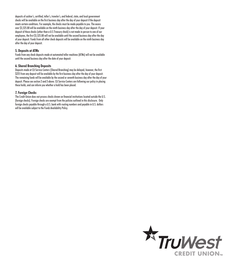deposits of cashier's, certified, teller's, traveler's, and federal, state, and local government checks will be available on the first business day after the day of your deposit if the deposit meets certain conditions. For example, the checks must be made payable to you. The excess over \$5,525.00 will be available on the ninth business day after the day of your deposit. If your deposit of these checks (other than a U.S Treasury check) is not made in person to one of our employees, the first \$5,525.00 will not be available until the second business day after the day of your deposit. Funds from all other check deposits will be available on the ninth business day after the day of your deposit.

#### **5. Deposits at ATMs**

Funds from any check deposits made at automated teller machines (ATMs) will not be available until the second business day after the date of your deposit.

#### **6. Shared Branching Deposits**

Deposits made at CU Service Centers (Shared Branching) may be delayed; however, the first \$225 from any deposit will be available by the first business day after the day of your deposit. The remaining funds will be available by the second or seventh business day after the day of your deposit. Please see section 2 and 3 above. CU Service Centers are following our policy in placing these holds, and can inform you whether a hold has been placed.

#### **7. Foreign Checks**

The Credit Union does not process checks drawn on financial institutions located outside the U.S. (foreign checks). Foreign checks are exempt from the policies outlined in this disclosure. Only foreign checks payable through a U.S. bank with routing numbers and payable in U.S. dollars will be available subject to the Funds Availability Policy.